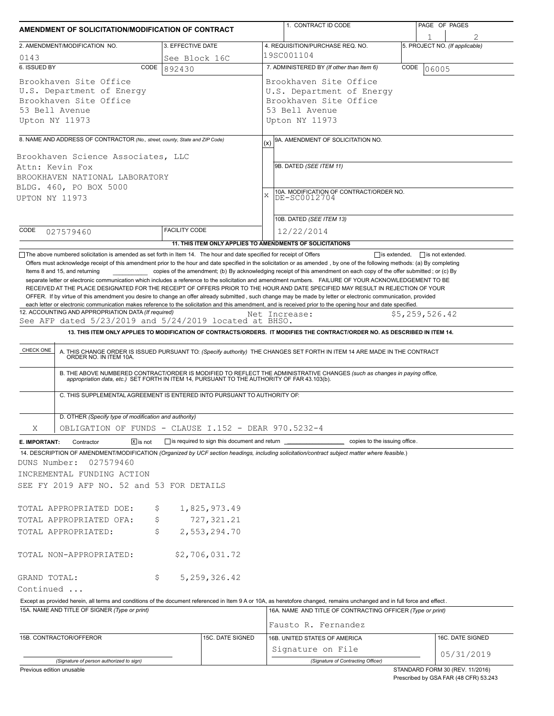| AMENDMENT OF SOLICITATION/MODIFICATION OF CONTRACT                                                                                                                                                                                                                                                                                                                                                                                                                                                                                                                                                                                                                                                                    |                                                           |  | 1. CONTRACT ID CODE                                                                                                                                                                                                                                                                                                                                                       | PAGE OF PAGES |                                                                          |  |  |  |  |
|-----------------------------------------------------------------------------------------------------------------------------------------------------------------------------------------------------------------------------------------------------------------------------------------------------------------------------------------------------------------------------------------------------------------------------------------------------------------------------------------------------------------------------------------------------------------------------------------------------------------------------------------------------------------------------------------------------------------------|-----------------------------------------------------------|--|---------------------------------------------------------------------------------------------------------------------------------------------------------------------------------------------------------------------------------------------------------------------------------------------------------------------------------------------------------------------------|---------------|--------------------------------------------------------------------------|--|--|--|--|
| 2. AMENDMENT/MODIFICATION NO.                                                                                                                                                                                                                                                                                                                                                                                                                                                                                                                                                                                                                                                                                         | 3. EFFECTIVE DATE                                         |  | 4. REQUISITION/PURCHASE REQ. NO.                                                                                                                                                                                                                                                                                                                                          |               | 5. PROJECT NO. (If applicable)                                           |  |  |  |  |
| 0143                                                                                                                                                                                                                                                                                                                                                                                                                                                                                                                                                                                                                                                                                                                  | See Block 16C                                             |  | 19SC001104                                                                                                                                                                                                                                                                                                                                                                |               |                                                                          |  |  |  |  |
| 6. ISSUED BY<br>CODE                                                                                                                                                                                                                                                                                                                                                                                                                                                                                                                                                                                                                                                                                                  | 892430                                                    |  | 7. ADMINISTERED BY (If other than Item 6)<br>CODE<br>06005                                                                                                                                                                                                                                                                                                                |               |                                                                          |  |  |  |  |
| Brookhaven Site Office<br>U.S. Department of Energy<br>Brookhaven Site Office<br>53 Bell Avenue<br>Upton NY 11973                                                                                                                                                                                                                                                                                                                                                                                                                                                                                                                                                                                                     |                                                           |  | Brookhaven Site Office<br>U.S. Department of Energy<br>Brookhaven Site Office<br>53 Bell Avenue<br>Upton NY 11973                                                                                                                                                                                                                                                         |               |                                                                          |  |  |  |  |
|                                                                                                                                                                                                                                                                                                                                                                                                                                                                                                                                                                                                                                                                                                                       |                                                           |  |                                                                                                                                                                                                                                                                                                                                                                           |               |                                                                          |  |  |  |  |
| 8. NAME AND ADDRESS OF CONTRACTOR (No., street, county, State and ZIP Code)<br>Brookhaven Science Associates, LLC<br>Attn: Kevin Fox<br>BROOKHAVEN NATIONAL LABORATORY<br>BLDG. 460, PO BOX 5000<br>UPTON NY 11973                                                                                                                                                                                                                                                                                                                                                                                                                                                                                                    |                                                           |  | 9A. AMENDMENT OF SOLICITATION NO.<br>(x)<br>9B. DATED (SEE ITEM 11)<br>10A. MODIFICATION OF CONTRACT/ORDER NO.<br>DE-SC0012704<br>X<br>10B. DATED (SEE ITEM 13)                                                                                                                                                                                                           |               |                                                                          |  |  |  |  |
| CODE<br>027579460                                                                                                                                                                                                                                                                                                                                                                                                                                                                                                                                                                                                                                                                                                     | <b>FACILITY CODE</b>                                      |  | 12/22/2014                                                                                                                                                                                                                                                                                                                                                                |               |                                                                          |  |  |  |  |
|                                                                                                                                                                                                                                                                                                                                                                                                                                                                                                                                                                                                                                                                                                                       | 11. THIS ITEM ONLY APPLIES TO AMENDMENTS OF SOLICITATIONS |  |                                                                                                                                                                                                                                                                                                                                                                           |               |                                                                          |  |  |  |  |
| Items 8 and 15, and returning<br>separate letter or electronic communication which includes a reference to the solicitation and amendment numbers. FAILURE OF YOUR ACKNOWLEDGEMENT TO BE<br>RECEIVED AT THE PLACE DESIGNATED FOR THE RECEIPT OF OFFERS PRIOR TO THE HOUR AND DATE SPECIFIED MAY RESULT IN REJECTION OF YOUR<br>OFFER. If by virtue of this amendment you desire to change an offer already submitted, such change may be made by letter or electronic communication, provided<br>each letter or electronic communication makes reference to the solicitation and this amendment, and is received prior to the opening hour and date specified.<br>12. ACCOUNTING AND APPROPRIATION DATA (If required) |                                                           |  | copies of the amendment; (b) By acknowledging receipt of this amendment on each copy of the offer submitted; or (c) By<br>Net Increase:                                                                                                                                                                                                                                   |               | \$5,259,526.42                                                           |  |  |  |  |
| See AFP dated $5/23/2019$ and $5/24/2019$ located at BHSO.                                                                                                                                                                                                                                                                                                                                                                                                                                                                                                                                                                                                                                                            |                                                           |  |                                                                                                                                                                                                                                                                                                                                                                           |               |                                                                          |  |  |  |  |
|                                                                                                                                                                                                                                                                                                                                                                                                                                                                                                                                                                                                                                                                                                                       |                                                           |  | 13. THIS ITEM ONLY APPLIES TO MODIFICATION OF CONTRACTS/ORDERS. IT MODIFIES THE CONTRACT/ORDER NO. AS DESCRIBED IN ITEM 14.                                                                                                                                                                                                                                               |               |                                                                          |  |  |  |  |
| C. THIS SUPPLEMENTAL AGREEMENT IS ENTERED INTO PURSUANT TO AUTHORITY OF:                                                                                                                                                                                                                                                                                                                                                                                                                                                                                                                                                                                                                                              |                                                           |  | A. THIS CHANGE ORDER IS ISSUED PURSUANT TO: (Specify authority) THE CHANGES SET FORTH IN ITEM 14 ARE MADE IN THE CONTRACT ORDER NO. IN ITEM 10A.<br>B. THE ABOVE NUMBERED CONTRACT/ORDER IS MODIFIED TO REFLECT THE ADMINISTRATIVE CHANGES (such as changes in paying office, appropriation data, etc.) SET FORTH IN ITEM 14, PURSUANT TO THE AUTHORITY OF FAR 43.103(b). |               |                                                                          |  |  |  |  |
| D. OTHER (Specify type of modification and authority)<br>OBLIGATION OF FUNDS - CLAUSE I.152 - DEAR 970.5232-4<br>Χ                                                                                                                                                                                                                                                                                                                                                                                                                                                                                                                                                                                                    |                                                           |  |                                                                                                                                                                                                                                                                                                                                                                           |               |                                                                          |  |  |  |  |
| $\sqrt{X}$ is not                                                                                                                                                                                                                                                                                                                                                                                                                                                                                                                                                                                                                                                                                                     |                                                           |  |                                                                                                                                                                                                                                                                                                                                                                           |               |                                                                          |  |  |  |  |
| E. IMPORTANT:<br>Contractor<br>14. DESCRIPTION OF AMENDMENT/MODIFICATION (Organized by UCF section headings, including solicitation/contract subject matter where feasible.)<br>DUNS Number:<br>027579460<br>INCREMENTAL FUNDING ACTION<br>SEE FY 2019 AFP NO. 52 and 53 FOR DETAILS                                                                                                                                                                                                                                                                                                                                                                                                                                  |                                                           |  |                                                                                                                                                                                                                                                                                                                                                                           |               |                                                                          |  |  |  |  |
| TOTAL APPROPRIATED DOE:<br>Ş.                                                                                                                                                                                                                                                                                                                                                                                                                                                                                                                                                                                                                                                                                         | 1,825,973.49                                              |  |                                                                                                                                                                                                                                                                                                                                                                           |               |                                                                          |  |  |  |  |
| \$<br>TOTAL APPROPRIATED OFA:                                                                                                                                                                                                                                                                                                                                                                                                                                                                                                                                                                                                                                                                                         | 727, 321.21                                               |  |                                                                                                                                                                                                                                                                                                                                                                           |               |                                                                          |  |  |  |  |
| \$<br>TOTAL APPROPRIATED:                                                                                                                                                                                                                                                                                                                                                                                                                                                                                                                                                                                                                                                                                             | 2,553,294.70                                              |  |                                                                                                                                                                                                                                                                                                                                                                           |               |                                                                          |  |  |  |  |
| TOTAL NON-APPROPRIATED:                                                                                                                                                                                                                                                                                                                                                                                                                                                                                                                                                                                                                                                                                               | \$2,706,031.72                                            |  |                                                                                                                                                                                                                                                                                                                                                                           |               |                                                                          |  |  |  |  |
| GRAND TOTAL:<br>Ş.                                                                                                                                                                                                                                                                                                                                                                                                                                                                                                                                                                                                                                                                                                    | 5, 259, 326.42                                            |  |                                                                                                                                                                                                                                                                                                                                                                           |               |                                                                          |  |  |  |  |
| Continued                                                                                                                                                                                                                                                                                                                                                                                                                                                                                                                                                                                                                                                                                                             |                                                           |  |                                                                                                                                                                                                                                                                                                                                                                           |               |                                                                          |  |  |  |  |
| Except as provided herein, all terms and conditions of the document referenced in Item 9 A or 10A, as heretofore changed, remains unchanged and in full force and effect.                                                                                                                                                                                                                                                                                                                                                                                                                                                                                                                                             |                                                           |  |                                                                                                                                                                                                                                                                                                                                                                           |               |                                                                          |  |  |  |  |
| 15A. NAME AND TITLE OF SIGNER (Type or print)                                                                                                                                                                                                                                                                                                                                                                                                                                                                                                                                                                                                                                                                         |                                                           |  | 16A. NAME AND TITLE OF CONTRACTING OFFICER (Type or print)<br>Fausto R. Fernandez                                                                                                                                                                                                                                                                                         |               |                                                                          |  |  |  |  |
| 15B. CONTRACTOR/OFFEROR                                                                                                                                                                                                                                                                                                                                                                                                                                                                                                                                                                                                                                                                                               | 15C. DATE SIGNED                                          |  | 16B. UNITED STATES OF AMERICA                                                                                                                                                                                                                                                                                                                                             |               | 16C. DATE SIGNED                                                         |  |  |  |  |
|                                                                                                                                                                                                                                                                                                                                                                                                                                                                                                                                                                                                                                                                                                                       |                                                           |  | Signature on File                                                                                                                                                                                                                                                                                                                                                         |               |                                                                          |  |  |  |  |
| (Signature of person authorized to sign)                                                                                                                                                                                                                                                                                                                                                                                                                                                                                                                                                                                                                                                                              |                                                           |  | (Signature of Contracting Officer)                                                                                                                                                                                                                                                                                                                                        |               | 05/31/2019                                                               |  |  |  |  |
| Previous edition unusable                                                                                                                                                                                                                                                                                                                                                                                                                                                                                                                                                                                                                                                                                             |                                                           |  |                                                                                                                                                                                                                                                                                                                                                                           |               | STANDARD FORM 30 (REV. 11/2016)<br>Prescribed by GSA FAR (48 CFR) 53.243 |  |  |  |  |